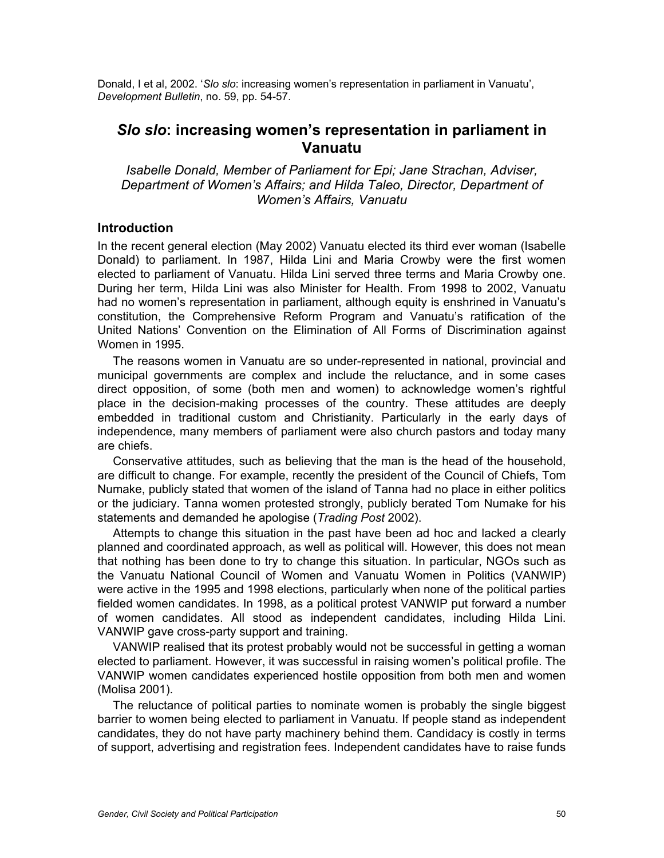Donald, I et al, 2002. '*Slo slo*: increasing women's representation in parliament in Vanuatu', *Development Bulletin*, no. 59, pp. 54-57.

# *Slo slo***: increasing women's representation in parliament in Vanuatu**

*Isabelle Donald, Member of Parliament for Epi; Jane Strachan, Adviser, Department of Women's Affairs; and Hilda Taleo, Director, Department of Women's Affairs, Vanuatu* 

# **Introduction**

In the recent general election (May 2002) Vanuatu elected its third ever woman (Isabelle Donald) to parliament. In 1987, Hilda Lini and Maria Crowby were the first women elected to parliament of Vanuatu. Hilda Lini served three terms and Maria Crowby one. During her term, Hilda Lini was also Minister for Health. From 1998 to 2002, Vanuatu had no women's representation in parliament, although equity is enshrined in Vanuatu's constitution, the Comprehensive Reform Program and Vanuatu's ratification of the United Nations' Convention on the Elimination of All Forms of Discrimination against Women in 1995.

The reasons women in Vanuatu are so under-represented in national, provincial and municipal governments are complex and include the reluctance, and in some cases direct opposition, of some (both men and women) to acknowledge women's rightful place in the decision-making processes of the country. These attitudes are deeply embedded in traditional custom and Christianity. Particularly in the early days of independence, many members of parliament were also church pastors and today many are chiefs.

Conservative attitudes, such as believing that the man is the head of the household, are difficult to change. For example, recently the president of the Council of Chiefs, Tom Numake, publicly stated that women of the island of Tanna had no place in either politics or the judiciary. Tanna women protested strongly, publicly berated Tom Numake for his statements and demanded he apologise (*Trading Post* 2002).

Attempts to change this situation in the past have been ad hoc and lacked a clearly planned and coordinated approach, as well as political will. However, this does not mean that nothing has been done to try to change this situation. In particular, NGOs such as the Vanuatu National Council of Women and Vanuatu Women in Politics (VANWIP) were active in the 1995 and 1998 elections, particularly when none of the political parties fielded women candidates. In 1998, as a political protest VANWIP put forward a number of women candidates. All stood as independent candidates, including Hilda Lini. VANWIP gave cross-party support and training.

VANWIP realised that its protest probably would not be successful in getting a woman elected to parliament. However, it was successful in raising women's political profile. The VANWIP women candidates experienced hostile opposition from both men and women (Molisa 2001).

The reluctance of political parties to nominate women is probably the single biggest barrier to women being elected to parliament in Vanuatu. If people stand as independent candidates, they do not have party machinery behind them. Candidacy is costly in terms of support, advertising and registration fees. Independent candidates have to raise funds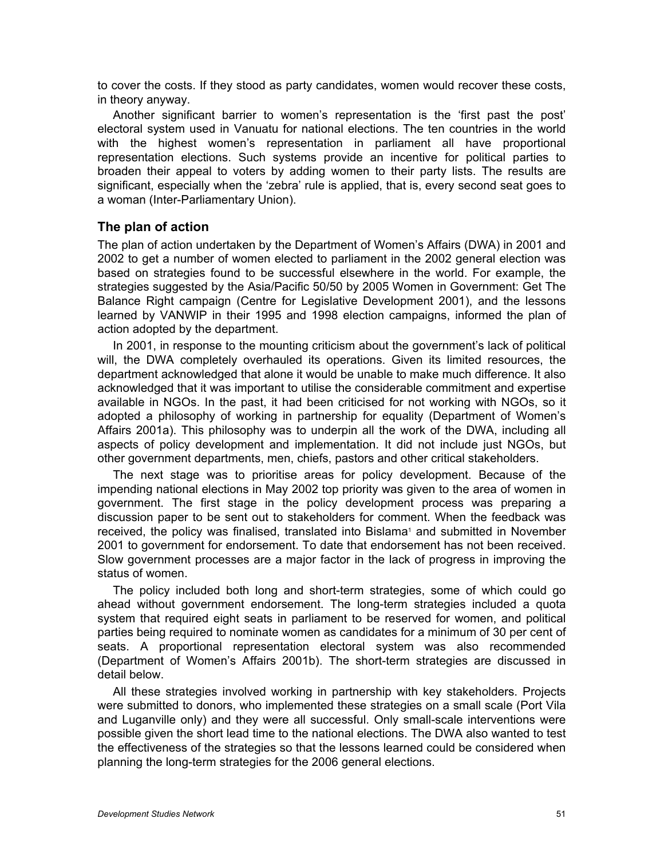to cover the costs. If they stood as party candidates, women would recover these costs, in theory anyway.

Another significant barrier to women's representation is the 'first past the post' electoral system used in Vanuatu for national elections. The ten countries in the world with the highest women's representation in parliament all have proportional representation elections. Such systems provide an incentive for political parties to broaden their appeal to voters by adding women to their party lists. The results are significant, especially when the 'zebra' rule is applied, that is, every second seat goes to a woman (Inter-Parliamentary Union).

# **The plan of action**

The plan of action undertaken by the Department of Women's Affairs (DWA) in 2001 and 2002 to get a number of women elected to parliament in the 2002 general election was based on strategies found to be successful elsewhere in the world. For example, the strategies suggested by the Asia/Pacific 50/50 by 2005 Women in Government: Get The Balance Right campaign (Centre for Legislative Development 2001), and the lessons learned by VANWIP in their 1995 and 1998 election campaigns, informed the plan of action adopted by the department.

In 2001, in response to the mounting criticism about the government's lack of political will, the DWA completely overhauled its operations. Given its limited resources, the department acknowledged that alone it would be unable to make much difference. It also acknowledged that it was important to utilise the considerable commitment and expertise available in NGOs. In the past, it had been criticised for not working with NGOs, so it adopted a philosophy of working in partnership for equality (Department of Women's Affairs 2001a). This philosophy was to underpin all the work of the DWA, including all aspects of policy development and implementation. It did not include just NGOs, but other government departments, men, chiefs, pastors and other critical stakeholders.

The next stage was to prioritise areas for policy development. Because of the impending national elections in May 2002 top priority was given to the area of women in government. The first stage in the policy development process was preparing a discussion paper to be sent out to stakeholders for comment. When the feedback was received, the policy was finalised, translated into Bislama<sup>1</sup> and submitted in November 2001 to government for endorsement. To date that endorsement has not been received. Slow government processes are a major factor in the lack of progress in improving the status of women.

The policy included both long and short-term strategies, some of which could go ahead without government endorsement. The long-term strategies included a quota system that required eight seats in parliament to be reserved for women, and political parties being required to nominate women as candidates for a minimum of 30 per cent of seats. A proportional representation electoral system was also recommended (Department of Women's Affairs 2001b). The short-term strategies are discussed in detail below.

All these strategies involved working in partnership with key stakeholders. Projects were submitted to donors, who implemented these strategies on a small scale (Port Vila and Luganville only) and they were all successful. Only small-scale interventions were possible given the short lead time to the national elections. The DWA also wanted to test the effectiveness of the strategies so that the lessons learned could be considered when planning the long-term strategies for the 2006 general elections.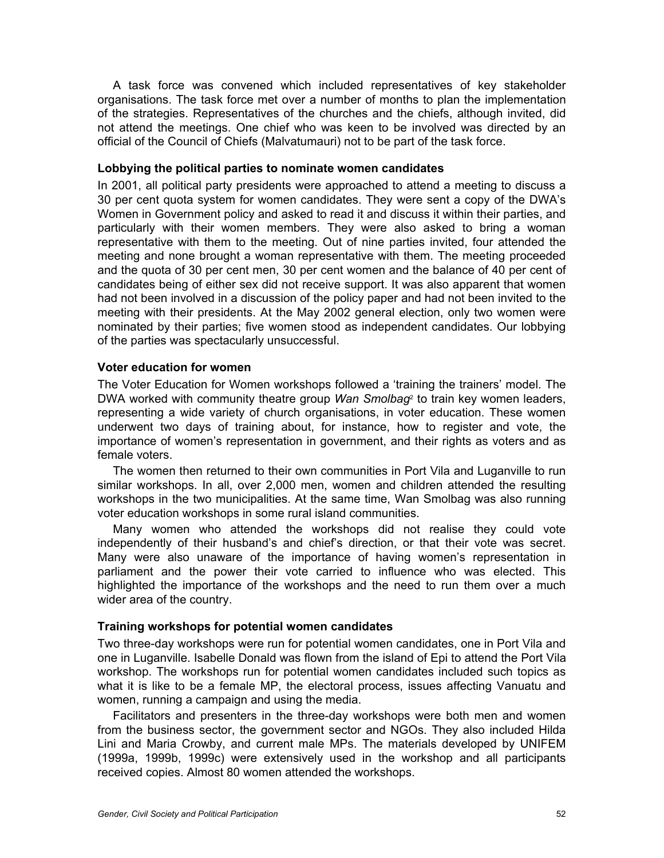A task force was convened which included representatives of key stakeholder organisations. The task force met over a number of months to plan the implementation of the strategies. Representatives of the churches and the chiefs, although invited, did not attend the meetings. One chief who was keen to be involved was directed by an official of the Council of Chiefs (Malvatumauri) not to be part of the task force.

## **Lobbying the political parties to nominate women candidates**

In 2001, all political party presidents were approached to attend a meeting to discuss a 30 per cent quota system for women candidates. They were sent a copy of the DWA's Women in Government policy and asked to read it and discuss it within their parties, and particularly with their women members. They were also asked to bring a woman representative with them to the meeting. Out of nine parties invited, four attended the meeting and none brought a woman representative with them. The meeting proceeded and the quota of 30 per cent men, 30 per cent women and the balance of 40 per cent of candidates being of either sex did not receive support. It was also apparent that women had not been involved in a discussion of the policy paper and had not been invited to the meeting with their presidents. At the May 2002 general election, only two women were nominated by their parties; five women stood as independent candidates. Our lobbying of the parties was spectacularly unsuccessful.

#### **Voter education for women**

The Voter Education for Women workshops followed a 'training the trainers' model. The DWA worked with community theatre group *Wan Smolbag*2 to train key women leaders, representing a wide variety of church organisations, in voter education. These women underwent two days of training about, for instance, how to register and vote, the importance of women's representation in government, and their rights as voters and as female voters.

The women then returned to their own communities in Port Vila and Luganville to run similar workshops. In all, over 2,000 men, women and children attended the resulting workshops in the two municipalities. At the same time, Wan Smolbag was also running voter education workshops in some rural island communities.

Many women who attended the workshops did not realise they could vote independently of their husband's and chief's direction, or that their vote was secret. Many were also unaware of the importance of having women's representation in parliament and the power their vote carried to influence who was elected. This highlighted the importance of the workshops and the need to run them over a much wider area of the country.

## **Training workshops for potential women candidates**

Two three-day workshops were run for potential women candidates, one in Port Vila and one in Luganville. Isabelle Donald was flown from the island of Epi to attend the Port Vila workshop. The workshops run for potential women candidates included such topics as what it is like to be a female MP, the electoral process, issues affecting Vanuatu and women, running a campaign and using the media.

Facilitators and presenters in the three-day workshops were both men and women from the business sector, the government sector and NGOs. They also included Hilda Lini and Maria Crowby, and current male MPs. The materials developed by UNIFEM (1999a, 1999b, 1999c) were extensively used in the workshop and all participants received copies. Almost 80 women attended the workshops.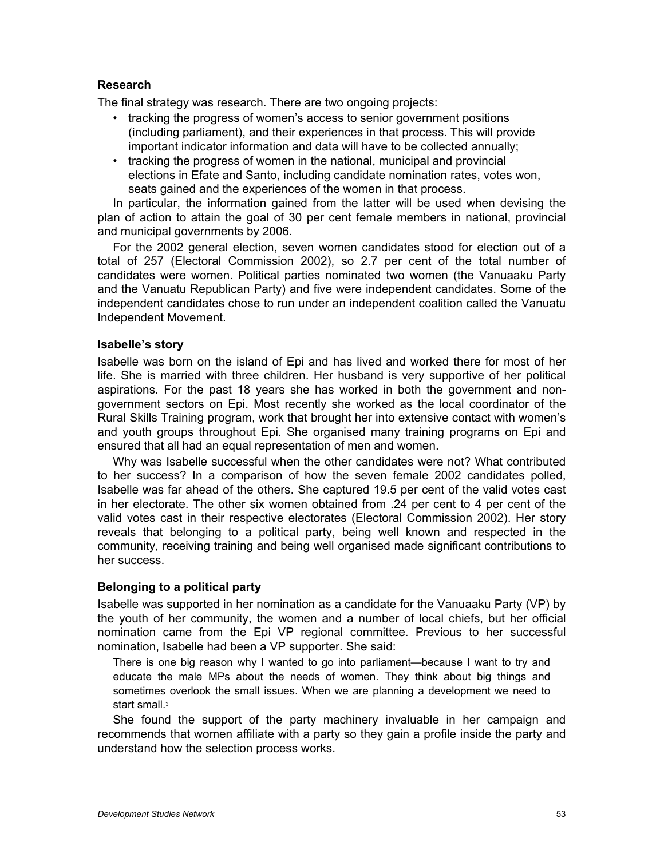# **Research**

The final strategy was research. There are two ongoing projects:

- tracking the progress of women's access to senior government positions (including parliament), and their experiences in that process. This will provide important indicator information and data will have to be collected annually;
- tracking the progress of women in the national, municipal and provincial elections in Efate and Santo, including candidate nomination rates, votes won, seats gained and the experiences of the women in that process.

In particular, the information gained from the latter will be used when devising the plan of action to attain the goal of 30 per cent female members in national, provincial and municipal governments by 2006.

For the 2002 general election, seven women candidates stood for election out of a total of 257 (Electoral Commission 2002), so 2.7 per cent of the total number of candidates were women. Political parties nominated two women (the Vanuaaku Party and the Vanuatu Republican Party) and five were independent candidates. Some of the independent candidates chose to run under an independent coalition called the Vanuatu Independent Movement.

## **Isabelle's story**

Isabelle was born on the island of Epi and has lived and worked there for most of her life. She is married with three children. Her husband is very supportive of her political aspirations. For the past 18 years she has worked in both the government and nongovernment sectors on Epi. Most recently she worked as the local coordinator of the Rural Skills Training program, work that brought her into extensive contact with women's and youth groups throughout Epi. She organised many training programs on Epi and ensured that all had an equal representation of men and women.

Why was Isabelle successful when the other candidates were not? What contributed to her success? In a comparison of how the seven female 2002 candidates polled, Isabelle was far ahead of the others. She captured 19.5 per cent of the valid votes cast in her electorate. The other six women obtained from .24 per cent to 4 per cent of the valid votes cast in their respective electorates (Electoral Commission 2002). Her story reveals that belonging to a political party, being well known and respected in the community, receiving training and being well organised made significant contributions to her success.

## **Belonging to a political party**

Isabelle was supported in her nomination as a candidate for the Vanuaaku Party (VP) by the youth of her community, the women and a number of local chiefs, but her official nomination came from the Epi VP regional committee. Previous to her successful nomination, Isabelle had been a VP supporter. She said:

There is one big reason why I wanted to go into parliament—because I want to try and educate the male MPs about the needs of women. They think about big things and sometimes overlook the small issues. When we are planning a development we need to start small.<sup>3</sup>

She found the support of the party machinery invaluable in her campaign and recommends that women affiliate with a party so they gain a profile inside the party and understand how the selection process works.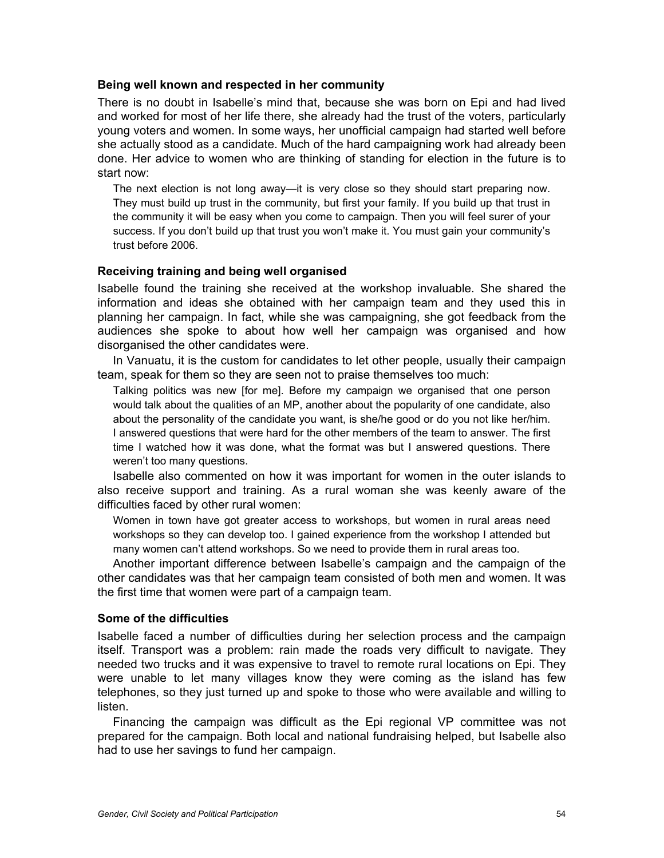#### **Being well known and respected in her community**

There is no doubt in Isabelle's mind that, because she was born on Epi and had lived and worked for most of her life there, she already had the trust of the voters, particularly young voters and women. In some ways, her unofficial campaign had started well before she actually stood as a candidate. Much of the hard campaigning work had already been done. Her advice to women who are thinking of standing for election in the future is to start now:

The next election is not long away—it is very close so they should start preparing now. They must build up trust in the community, but first your family. If you build up that trust in the community it will be easy when you come to campaign. Then you will feel surer of your success. If you don't build up that trust you won't make it. You must gain your community's trust before 2006.

## **Receiving training and being well organised**

Isabelle found the training she received at the workshop invaluable. She shared the information and ideas she obtained with her campaign team and they used this in planning her campaign. In fact, while she was campaigning, she got feedback from the audiences she spoke to about how well her campaign was organised and how disorganised the other candidates were.

In Vanuatu, it is the custom for candidates to let other people, usually their campaign team, speak for them so they are seen not to praise themselves too much:

Talking politics was new [for me]. Before my campaign we organised that one person would talk about the qualities of an MP, another about the popularity of one candidate, also about the personality of the candidate you want, is she/he good or do you not like her/him. I answered questions that were hard for the other members of the team to answer. The first time I watched how it was done, what the format was but I answered questions. There weren't too many questions.

Isabelle also commented on how it was important for women in the outer islands to also receive support and training. As a rural woman she was keenly aware of the difficulties faced by other rural women:

Women in town have got greater access to workshops, but women in rural areas need workshops so they can develop too. I gained experience from the workshop I attended but many women can't attend workshops. So we need to provide them in rural areas too.

Another important difference between Isabelle's campaign and the campaign of the other candidates was that her campaign team consisted of both men and women. It was the first time that women were part of a campaign team.

#### **Some of the difficulties**

Isabelle faced a number of difficulties during her selection process and the campaign itself. Transport was a problem: rain made the roads very difficult to navigate. They needed two trucks and it was expensive to travel to remote rural locations on Epi. They were unable to let many villages know they were coming as the island has few telephones, so they just turned up and spoke to those who were available and willing to listen.

Financing the campaign was difficult as the Epi regional VP committee was not prepared for the campaign. Both local and national fundraising helped, but Isabelle also had to use her savings to fund her campaign.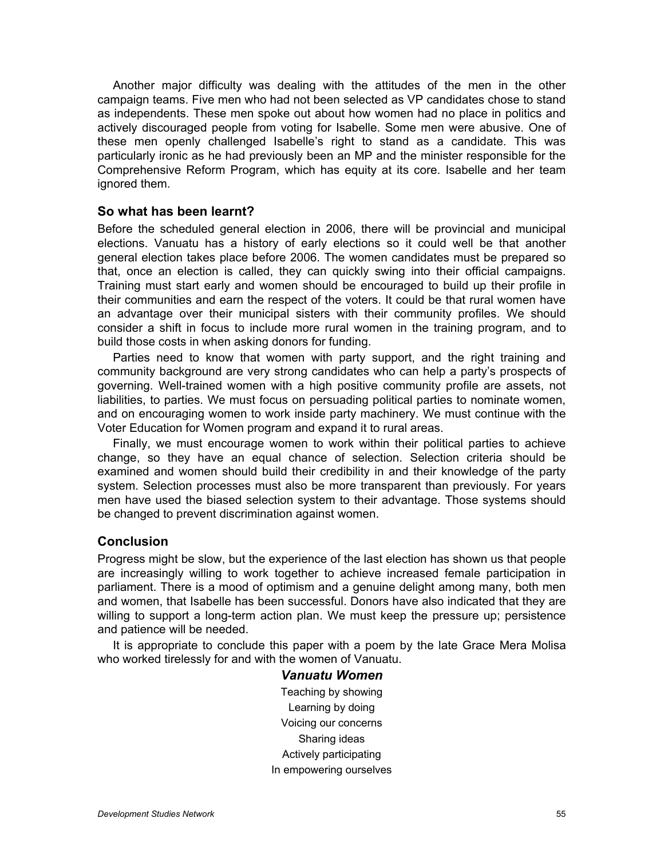Another major difficulty was dealing with the attitudes of the men in the other campaign teams. Five men who had not been selected as VP candidates chose to stand as independents. These men spoke out about how women had no place in politics and actively discouraged people from voting for Isabelle. Some men were abusive. One of these men openly challenged Isabelle's right to stand as a candidate. This was particularly ironic as he had previously been an MP and the minister responsible for the Comprehensive Reform Program, which has equity at its core. Isabelle and her team ignored them.

# **So what has been learnt?**

Before the scheduled general election in 2006, there will be provincial and municipal elections. Vanuatu has a history of early elections so it could well be that another general election takes place before 2006. The women candidates must be prepared so that, once an election is called, they can quickly swing into their official campaigns. Training must start early and women should be encouraged to build up their profile in their communities and earn the respect of the voters. It could be that rural women have an advantage over their municipal sisters with their community profiles. We should consider a shift in focus to include more rural women in the training program, and to build those costs in when asking donors for funding.

Parties need to know that women with party support, and the right training and community background are very strong candidates who can help a party's prospects of governing. Well-trained women with a high positive community profile are assets, not liabilities, to parties. We must focus on persuading political parties to nominate women, and on encouraging women to work inside party machinery. We must continue with the Voter Education for Women program and expand it to rural areas.

Finally, we must encourage women to work within their political parties to achieve change, so they have an equal chance of selection. Selection criteria should be examined and women should build their credibility in and their knowledge of the party system. Selection processes must also be more transparent than previously. For years men have used the biased selection system to their advantage. Those systems should be changed to prevent discrimination against women.

## **Conclusion**

Progress might be slow, but the experience of the last election has shown us that people are increasingly willing to work together to achieve increased female participation in parliament. There is a mood of optimism and a genuine delight among many, both men and women, that Isabelle has been successful. Donors have also indicated that they are willing to support a long-term action plan. We must keep the pressure up; persistence and patience will be needed.

It is appropriate to conclude this paper with a poem by the late Grace Mera Molisa who worked tirelessly for and with the women of Vanuatu.

> *Vanuatu Women* Teaching by showing Learning by doing Voicing our concerns Sharing ideas Actively participating In empowering ourselves